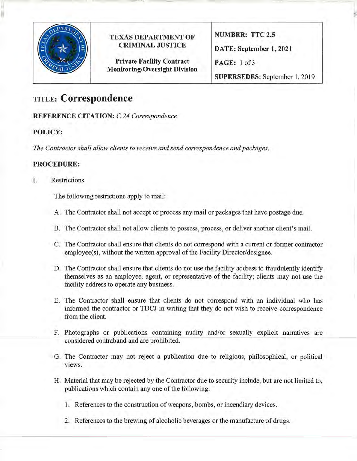

## **TEXAS DEPARTMENT OF CRIMINAL JUSTICE**

**Private Facility Contract Monitoring/Oversight Division**  **NUMBER: TTC 2.5 DATE: September 1, 2021 PAGE:** 1 of3 **SUPERSEDES:** September 1, 2019

# **TITLE: Correspondence**

**REFERENCE CITATION:** *C.24 Correspondence* 

### **POLICY:**

*The Contractor shall allow clients to receive and send correspondence and packages.* 

#### **PROCEDURE:**

I. Restrictions

The following restrictions apply to mail:

- A. The Contractor shall not accept or process any mail or packages that have postage due.
- B. The Contractor shall not allow clients to possess, process, or deliver another client's mail.
- C. The Contractor shall ensure that clients do not correspond with a current or former contractor employee(s), without the written approval of the Facility Director/designee.
- D. The Contractor shall ensure that clients do not use the facility address to fraudulently identify themselves as an employee, agent, or representative of the facility; clients may not use the facility address to operate any business.
- E. The Contractor shall ensure that clients do not correspond with an individual who has informed the contractor or TDCJ in writing that they do not wish to receive correspondence from the client.
- F. Photographs or publications containing nudity and/or sexually explicit narratives are considered contraband and are prohibited.
- G. The Contractor may not reject a publication due to religious, philosophical, or political views.
- H. Material that may be rejected by the Contractor due to security include, but are not limited to, publications which contain any one of the following:
	- 1. References to the construction of weapons, bombs, or incendiary devices.
	- 2. References to the brewing of alcoholic beverages or the manufacture of drugs.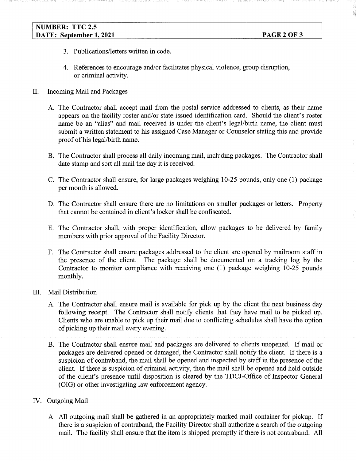- 3. Publications/letters written in code.
- 4. References to encourage and/or facilitates physical violence, group disruption, or criminal activity.
- II. Incoming Mail and Packages
	- A. The Contractor shall accept mail from the postal service addressed to clients, as their name appears on the facility roster and/or state issued identification card. Should the client's roster name be an "alias" and mail received is under the client's legal/birth name, the client must submit a written statement to his assigned Case Manager or Counselor stating this and provide proof of his legal/birth name.
	- B. The Contractor shall process all daily incoming mail, including packages. The Contractor shall date stamp and sort all mail the day it is received.
	- C. The Contractor shall ensure, for large packages weighing 10-25 pounds, only one (1) package per month is allowed.
	- D. The Contractor shall ensure there are no limitations on smaller packages or letters. Property that cannot be contained in client's locker shall be confiscated.
	- E. The Contractor shall, with proper identification, allow packages to be delivered by family members with prior approval of the Facility Director.
	- F. The Contractor shall ensure packages addressed to the client are opened by mailroom staff in the presence of the client. The package shall be documented on a tracking log by the Contractor to monitor compliance with receiving one (1) package weighing 10-25 pounds monthly.
- III. Mail Distribution
	- A. The Contractor shall ensure mail is available for pick up by the client the next business day following receipt. The Contractor shall notify clients that they have mail to be picked up. Clients who are unable to pick up their mail due to conflicting schedules shall have the option of picking up their mail every evening.
	- B. The Contractor shall ensure mail and packages are delivered to clients unopened. If mail or packages are delivered opened or damaged, the Contractor shall notify the client. If there is a suspicion of contraband, the mail shall be opened and inspected by staff in the presence of the client. If there is suspicion of criminal activity, then the mail shall be opened and held outside of the client's presence until disposition is cleared by the TDCJ-Office of Inspector General (OIG) or other investigating law enforcement agency.
- IV. Outgoing Mail
	- A. All outgoing mail shall be gathered in an appropriately marked mail container for pickup. If there is a suspicion of contraband, the Facility Director shall authorize a search of the outgoing mail. The facility shall ensure that the item is shipped promptly if there is not contraband. All